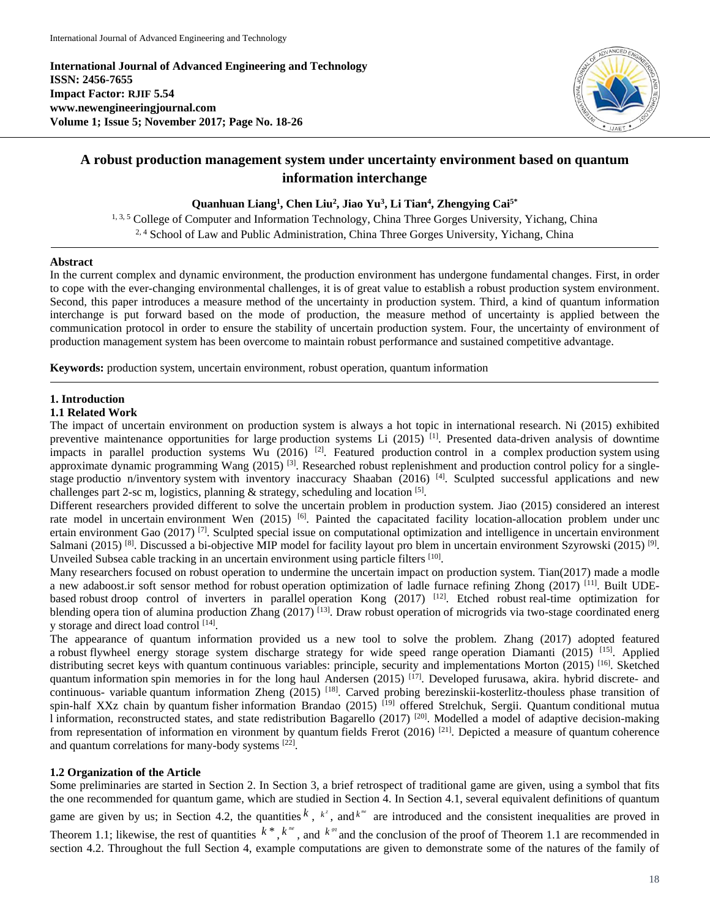**International Journal of Advanced Engineering and Technology ISSN: 2456-7655 Impact Factor: RJIF 5.54 www.newengineeringjournal.com Volume 1; Issue 5; November 2017; Page No. 18-26**



# **A robust production management system under uncertainty environment based on quantum information interchange**

## **Quanhuan Liang<sup>1</sup> , Chen Liu<sup>2</sup> , Jiao Yu<sup>3</sup> , Li Tian<sup>4</sup> , Zhengying Cai5\***

<sup>1, 3, 5</sup> College of Computer and Information Technology, China Three Gorges University, Yichang, China <sup>2, 4</sup> School of Law and Public Administration, China Three Gorges University, Yichang, China

## **Abstract**

In the current complex and dynamic environment, the production environment has undergone fundamental changes. First, in order to cope with the ever-changing environmental challenges, it is of great value to establish a robust production system environment. Second, this paper introduces a measure method of the uncertainty in production system. Third, a kind of quantum information interchange is put forward based on the mode of production, the measure method of uncertainty is applied between the communication protocol in order to ensure the stability of uncertain production system. Four, the uncertainty of environment of production management system has been overcome to maintain robust performance and sustained competitive advantage.

**Keywords:** production system, uncertain environment, robust operation, quantum information

## **1. Introduction**

### **1.1 Related Work**

The impact of uncertain environment on production system is always a hot topic in international research. Ni (2015) exhibited preventive maintenance opportunities for large production systems Li  $(2015)^{[1]}$ . Presented data-driven analysis of downtime impacts in parallel production systems Wu  $(2016)$ <sup>[2]</sup>. Featured production control in a complex production system using approximate dynamic programming Wang (2015)<sup>[3]</sup>. Researched robust replenishment and production control policy for a singlestage productio n/inventory system with inventory inaccuracy Shaaban (2016)<sup>[4]</sup>. Sculpted successful applications and new challenges part 2-sc m, logistics, planning  $\&$  strategy, scheduling and location <sup>[5]</sup>.

Different researchers provided different to solve the uncertain problem in production system. Jiao (2015) considered an interest rate model in uncertain environment Wen (2015)<sup>[6]</sup>. Painted the capacitated facility location-allocation problem under unc ertain environment Gao (2017)<sup>[7]</sup>. Sculpted special issue on computational optimization and intelligence in uncertain environment Salmani (2015)<sup>[8]</sup>. Discussed a bi-objective MIP model for facility layout pro blem in uncertain environment Szyrowski (2015)<sup>[9]</sup>. Unveiled Subsea cable tracking in an uncertain environment using particle filters [10].

Many researchers focused on robust operation to undermine the uncertain impact on production system. Tian(2017) made a modle a new adaboost.ir soft sensor method for robust operation optimization of ladle furnace refining Zhong (2017) [11]. Built UDEbased robust droop control of inverters in parallel operation Kong (2017)<sup>[12]</sup>. Etched robust real-time optimization for blending opera tion of alumina production Zhang (2017)<sup>[13]</sup>. Draw robust operation of microgrids via two-stage coordinated energ y storage and direct load control [14].

The appearance of quantum information provided us a new tool to solve the problem. Zhang (2017) adopted featured a robust flywheel energy storage system discharge strategy for wide speed range operation Diamanti (2015) [15]. Applied distributing secret keys with quantum continuous variables: principle, security and implementations Morton (2015) [16]. Sketched quantum information spin memories in for the long haul Andersen (2015)<sup>[17]</sup>. Developed furusawa, akira. hybrid discrete- and continuous- variable quantum information Zheng  $(2015)$ <sup>[18]</sup>. Carved probing berezinskii-kosterlitz-thouless phase transition of spin-half XXz chain by quantum fisher information Brandao (2015)<sup>[19]</sup> offered Strelchuk, Sergii. Quantum conditional mutua l information, reconstructed states, and state redistribution Bagarello (2017)<sup>[20]</sup>. Modelled a model of adaptive decision-making from representation of information en vironment by quantum fields Frerot (2016)<sup>[21]</sup>. Depicted a measure of quantum coherence and quantum correlations for many-body systems [22].

## **1.2 Organization of the Article**

Some preliminaries are started in Section 2. In Section 3, a brief retrospect of traditional game are given, using a symbol that fits the one recommended for quantum game, which are studied in Section 4. In Section 4.1, several equivalent definitions of quantum game are given by us; in Section 4.2, the quantities  $k$ ,  $k^2$ , and  $k^{m}$  are introduced and the consistent inequalities are proved in Theorem 1.1; likewise, the rest of quantities  $k^*$ ,  $k^{\prime\prime}$ , and  $k^{\prime\prime}$  and the conclusion of the proof of Theorem 1.1 are recommended in section 4.2. Throughout the full Section 4, example computations are given to demonstrate some of the natures of the family of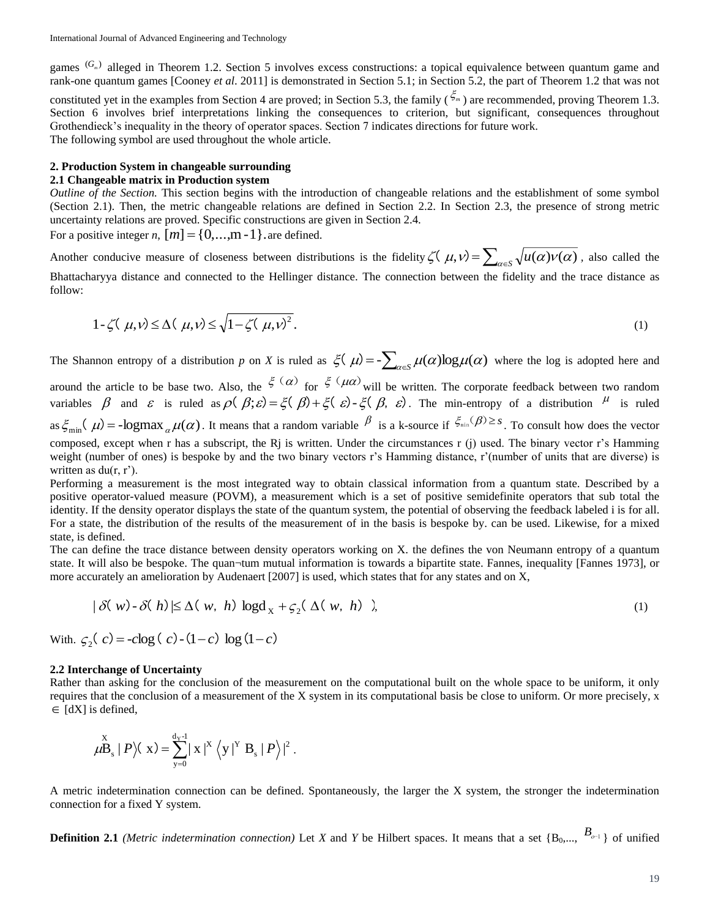games <sup>(G<sub>m</sub>)</sup> alleged in Theorem 1.2. Section 5 involves excess constructions: a topical equivalence between quantum game and rank-one quantum games [Cooney *et al*. 2011] is demonstrated in Section 5.1; in Section 5.2, the part of Theorem 1.2 that was not

constituted yet in the examples from Section 4 are proved; in Section 5.3, the family  $(\xi_m)$  are recommended, proving Theorem 1.3. Section 6 involves brief interpretations linking the consequences to criterion, but significant, consequences throughout Grothendieck's inequality in the theory of operator spaces. Section 7 indicates directions for future work. The following symbol are used throughout the whole article.

#### **2. Production System in changeable surrounding**

#### **2.1 Changeable matrix in Production system**

*Outline of the Section.* This section begins with the introduction of changeable relations and the establishment of some symbol (Section 2.1). Then, the metric changeable relations are defined in Section 2.2. In Section 2.3, the presence of strong metric uncertainty relations are proved. Specific constructions are given in Section 2.4.

For a positive integer *n*,  $[m] = \{0,...,m-1\}$  are defined.

Another conducive measure of closeness between distributions is the fidelity  $\zeta(\mu,\nu) = \sum_{\alpha \in S} \sqrt{u(\alpha)v(\alpha)}$ , also called the Bhattacharyya distance and connected to the Hellinger distance. The connection between the fidelity and the trace distance as follow:

$$
1 - \zeta(\mu, \nu) \le \Delta(\mu, \nu) \le \sqrt{1 - \zeta(\mu, \nu)^2}.
$$
 (1)

The Shannon entropy of a distribution *p* on *X* is ruled as  $\zeta(\mu) = -\sum_{\alpha \in S} \mu(\alpha) \log \mu(\alpha)$  where the log is adopted here and

around the article to be base two. Also, the  $\xi(\alpha)$  for  $\xi(\mu\alpha)$  will be written. The corporate feedback between two random variables  $\beta$  and  $\varepsilon$  is ruled as  $\rho(\beta;\varepsilon) = \xi(\beta) + \xi(\varepsilon) - \xi(\beta,\varepsilon)$ . The min-entropy of a distribution  $\mu$  is ruled as  $\zeta_{\min}(\mu) = -\text{logmax}_{\alpha}\mu(\alpha)$ . It means that a random variable  $\beta$  is a k-source if  $\zeta_{\min}(\beta) \geq s$ . To consult how does the vector composed, except when r has a subscript, the Rj is written. Under the circumstances r (j) used. The binary vector r's Hamming weight (number of ones) is bespoke by and the two binary vectors r's Hamming distance, r'(number of units that are diverse) is written as  $du(r, r^{\prime})$ .

Performing a measurement is the most integrated way to obtain classical information from a quantum state. Described by a positive operator-valued measure (POVM), a measurement which is a set of positive semidefinite operators that sub total the identity. If the density operator displays the state of the quantum system, the potential of observing the feedback labeled i is for all. For a state, the distribution of the results of the measurement of in the basis is bespoke by. can be used. Likewise, for a mixed state, is defined.

The can define the trace distance between density operators working on X. the defines the von Neumann entropy of a quantum state. It will also be bespoke. The quan¬tum mutual information is towards a bipartite state. Fannes, inequality [Fannes 1973], or more accurately an amelioration by Audenaert [2007] is used, which states that for any states and on X,

$$
|\delta(w) - \delta(h)| \le \Delta(w, h) \log d_{X} + \varsigma_{2}(\Delta(w, h)),
$$
\n(1)

With.  $\zeta_2(c) = -c \log(c) - (1 - c) \log(1 - c)$ 

#### **2.2 Interchange of Uncertainty**

Rather than asking for the conclusion of the measurement on the computational built on the whole space to be uniform, it only requires that the conclusion of a measurement of the X system in its computational basis be close to uniform. Or more precisely, x  $\in$  [dX] is defined,

$$
\mu \overset{X}{B}_s | P \rangle \langle x \rangle = \sum_{y=0}^{d_y - 1} |x|^x \langle y |^Y B_s | P \rangle |^2.
$$

A metric indetermination connection can be defined. Spontaneously, the larger the X system, the stronger the indetermination connection for a fixed Y system.

**Definition 2.1** *(Metric indetermination connection)* Let *X* and *Y* be Hilbert spaces. It means that a set  ${B_0, ..., B_{o-1}}$  of unified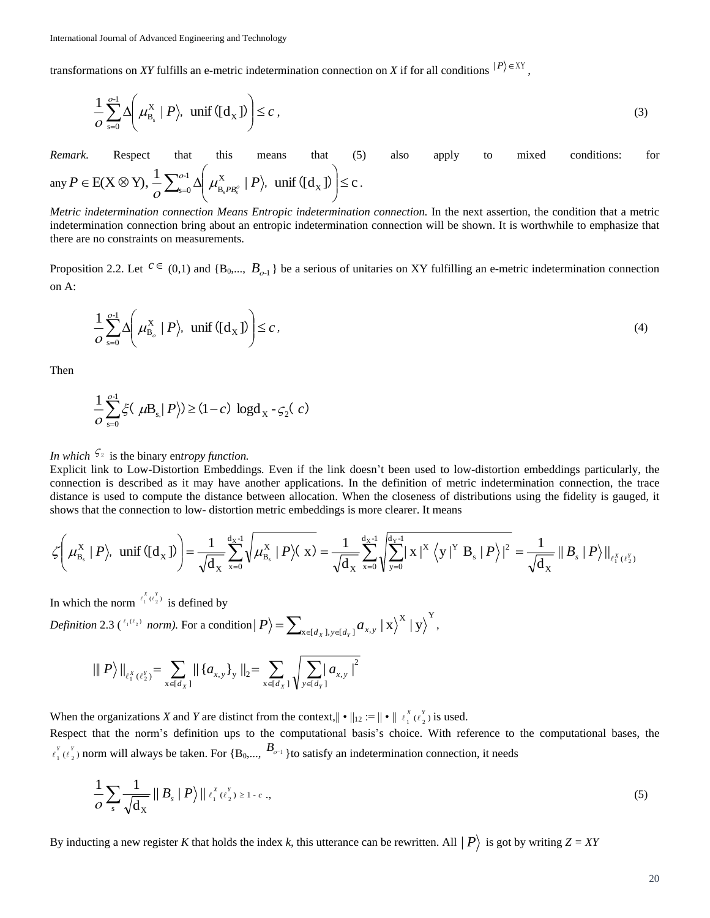transformations on *XY* fulfills an e-metric indetermination connection on *X* if for all conditions  $|P\rangle \in XY$ *,*

$$
\frac{1}{O} \sum_{s=0}^{O-1} \Delta \left( \mu_{B_s}^X \mid P \right), \quad \text{unif} \quad (\lbrack d_X \rbrack) \leq C \,, \tag{3}
$$

*Remark.* Respect that this means that (5) also apply to mixed conditions: for any  $P \in E(X \otimes Y), \frac{1}{\epsilon} \sum_{s=0}^{n-1} \Delta \left| \mu_{B,PB_s^o}^X \mid P \right|, \text{ unif } (\llbracket d_X \rrbracket) \leq c$ X  $\int_{B_sPB_s^o}^{\Lambda}$  | P), unif  $([d_X])$   $\leq$  $\backslash$  $\overline{\phantom{a}}$ J ſ  $\in E(X\otimes Y), \frac{1}{\alpha}\sum_{s=0}^{0.1}\Delta$  $\frac{1}{O}\sum_{\mathrm{s=0}}^{O-1}\Delta\Big|\ \mu_{\mathrm{B}_{\mathrm{s}}PB_{\mathrm{s}}^O}^{\mathrm{X}}$  $P \in E(X \otimes Y), -\sum_{s=0}^{\infty} \Delta \left| \mu_{B_s P B_s^o}^{\Lambda} \mid P \right|, \text{ unif } (\left[ d_X \right]) \leq c.$ 

*Metric indetermination connection Means Entropic indetermination connection.* In the next assertion, the condition that a metric indetermination connection bring about an entropic indetermination connection will be shown. It is worthwhile to emphasize that there are no constraints on measurements.

Proposition 2.2. Let  $c \in (0,1)$  and  $\{B_0,..., B_{o-1}\}\$ be a serious of unitaries on XY fulfilling an e-metric indetermination connection on A:

$$
\frac{1}{O} \sum_{s=0}^{O-1} \Delta \left( \mu_{B_o}^X \mid P \rangle, \text{ unif } (\llbracket d_X \rrbracket) \right) \leq c \,, \tag{4}
$$

Then

$$
\frac{1}{O} \sum_{s=0}^{O-1} \xi(\mu B_{s} | P) \ge (1 - c) \log d_{X} - \varsigma_{2}(c)
$$

## In which  $\frac{5}{2}$  is the binary entropy function.

Explicit link to Low-Distortion Embeddings*.* Even if the link doesn't been used to low-distortion embeddings particularly, the connection is described as it may have another applications. In the definition of metric indetermination connection, the trace distance is used to compute the distance between allocation. When the closeness of distributions using the fidelity is gauged, it shows that the connection to low- distortion metric embeddings is more clearer. It means

$$
\zeta\left(\mu_{\mathcal{B}_s}^{\mathcal{X}}\mid P\right),\ \ \text{unif}\ ([\mathcal{d}_{\mathcal{X}}])\right)=\frac{1}{\sqrt{d_{\mathcal{X}}}}\sum_{x=0}^{d_{\mathcal{X}}-1}\sqrt{\mu_{\mathcal{B}_s}^{\mathcal{X}}\mid P\left\langle\mathcal{X}\right.}\\ \left. \right)=\frac{1}{\sqrt{d_{\mathcal{X}}}}\sum_{x=0}^{d_{\mathcal{X}}-1}\sqrt{\sum_{y=0}^{d_{\mathcal{X}}-1}\left|\mathcal{X}\right|^{x}\left\langle\mathcal{Y}\right|^{Y}\mathcal{B}_{s}\mid P\right\rangle\mid^{2}}=\frac{1}{\sqrt{d_{\mathcal{X}}}}\left\|\mathcal{B}_{s}\mid P\right\rangle\left\|_{\ell_{1}^{X}(\ell_{2}^{Y})}\right\|
$$

In which the norm  $\int_{1}^{\ell_1} (\ell_2)$  is defined by

*Definition* 2.3 ( $\binom{\ell_1(\ell_2)}{n}$  *norm*). For a condition  $|P\rangle = \sum_{\ell_1,\ldots,\ell_{n-1}} a_{\ell} |X\rangle^X |Y\rangle^Y$  $x \in d_v$ ,  $y \in d_v$  $\big| P \big\rangle = \sum_{x \in [d_x], y \in [d_y]} a_{x,y} \, \big| \, x \big\rangle^X \, \big| \, y \big\rangle^1$ 

$$
\| P \rangle \|_{\ell_1^X(\ell_2^Y)} = \sum_{x \in [d_X]} \| \{a_{x,y}\}_y \|_2 = \sum_{x \in [d_X]} \sqrt{\sum_{y \in [d_Y]} |a_{x,y}|^2}
$$

When the organizations *X* and *Y* are distinct from the context, $\|\cdot\|_{12} := \|\cdot\|_{\ell_1}^{\chi}(\ell_2)$  $\ell_1^X$   $(\ell_2^Y)$  is used.

Respect that the norm's definition ups to the computational basis's choice. With reference to the computational bases, the  $(\ell_2)$  $\ell_1^Y(\ell_2^Y)$  norm will always be taken. For {B<sub>0</sub>,...,  $B_{\sigma^{-1}}$ }to satisfy an indetermination connection, it needs

$$
\frac{1}{O}\sum_{s}\frac{1}{\sqrt{d_X}}\left\|B_s\right\|P\right>\left\|\ell_1^x(\ell_2^y)\geq 1-c,\right\}
$$
\n(5)

By inducting a new register K that holds the index k, this utterance can be rewritten. All  $|P\rangle$  is got by writing  $Z = XY$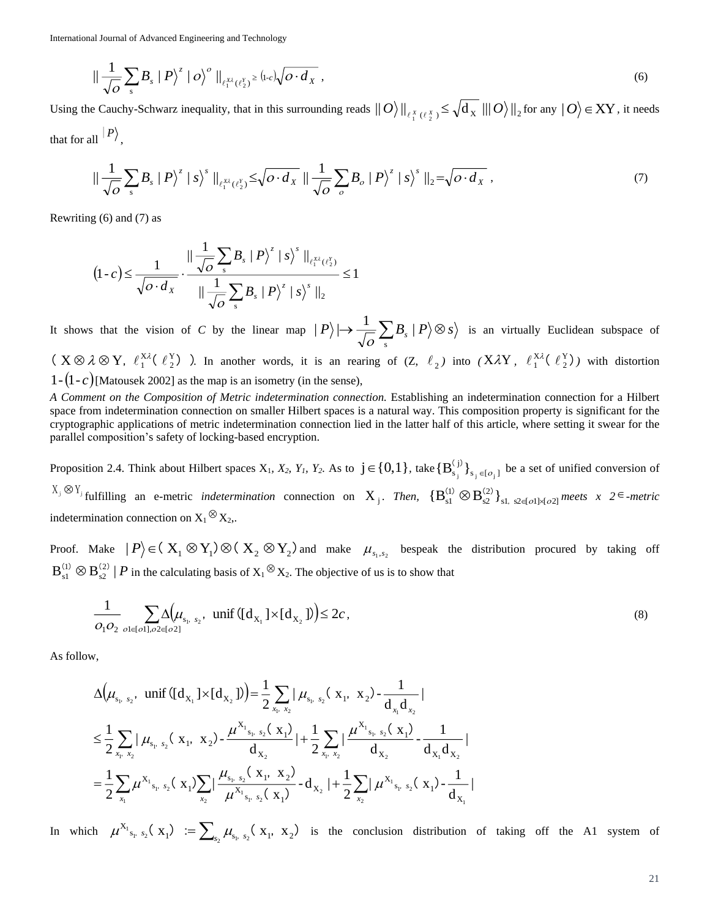International Journal of Advanced Engineering and Technology

$$
\|\frac{1}{\sqrt{O}}\sum_{s}B_{s}\mid P\big\rangle^{z}\mid o\big\rangle^{o}\|_{\ell_{1}^{X\lambda}(\ell_{2}^{Y})}\geq (1-c)\sqrt{O\cdot d_{X}}\,,\tag{6}
$$

Using the Cauchy-Schwarz inequality, that in this surrounding reads  $||O\rangle||_{\ell^{\frac{N}{4}}_1(\ell^{\frac{N}{2}}_2)} \leq \sqrt{d_X} |||O\rangle||_2$  for any  $|O\rangle \in XY$ , it needs that for all  $|P\rangle$ ,

$$
\|\frac{1}{\sqrt{O}}\sum_{s}B_{s}\left\|P\right\rangle^{z}\left\|s\right\rangle^{s}\|_{\ell_{1}^{X_{2}}\left(\ell_{2}^{Y}\right)}\leq\sqrt{O\cdot d_{X}}\|\frac{1}{\sqrt{O}}\sum_{o}B_{o}\left\|P\right\rangle^{z}\left\|s\right\rangle^{s}\|_{2}=\sqrt{O\cdot d_{X}}\tag{7}
$$

Rewriting (6) and (7) as

$$
(1-c) \leq \frac{1}{\sqrt{\omega} \cdot d_X} \cdot \frac{\|\frac{1}{\sqrt{\omega}} \sum_{s} B_s \|P\right)^z \|s\right)^s \|_{\ell_1^{X\lambda}(\ell_2^Y)}}{\|\frac{1}{\sqrt{\omega}} \sum_{s} B_s \|P\right)^z \|s\right)^s \|_2} \leq 1
$$

It shows that the vision of *C* by the linear map  $|P\rangle \mapsto \frac{1}{\sqrt{Q}} \sum_{s} B_{s} |P\rangle \otimes$  $| P \rangle | \rightarrow \frac{1}{\sqrt{O}} \sum_{s} B_{s} | P \rangle \otimes s$ is an virtually Euclidean subspace of

 $(X \otimes \lambda \otimes Y, \ \ell_1^{X\lambda}(\ \ell_2^Y)$  ).  $_{\rm X}$  $\otimes$   $\lambda \otimes Y$ ,  $\ell_1^{X\lambda}(\ell_2^Y)$  ). In another words, it is an rearing of  $(Z, \ell_2)$  into  $(XXY, \ell_1^{X\lambda}(\ell_2^Y))$ 2 X  $\ell_1^{\text{X}\lambda}$  ( $\ell_2^{\text{Y}}$ ) with distortion  $1 - (1 - c)$  [Matousek 2002] as the map is an isometry (in the sense),

*A Comment on the Composition of Metric indetermination connection.* Establishing an indetermination connection for a Hilbert space from indetermination connection on smaller Hilbert spaces is a natural way. This composition property is significant for the cryptographic applications of metric indetermination connection lied in the latter half of this article, where setting it swear for the parallel composition's safety of locking-based encryption.

Proposition 2.4. Think about Hilbert spaces  $X_1$ ,  $X_2$ ,  $Y_1$ ,  $Y_2$ . As to  $j \in \{0,1\}$ , take  $\{B_{s_i}^{(j)}\}_{s_i \in [0,j]}$ ( j)  ${B_{s_j}}^{(j)}\}_{s_j \in [o_j]}$  be a set of unified conversion of  $X_j \otimes Y_j$  fulfilling an e-metric *indetermination* connection on  $X_j$ . Then,  $\{B_{s1}^{(1)} \otimes B_{s2}^{(2)}\}_{s1, s2 \in [0] \setminus [0,2]}$ (2) s2  ${B_{s1}^{(1)} \otimes B_{s2}^{(2)}\}_{s1.}$  set of  $s2 \in$  *neets*  $x \in 2 \in$  *-metric* indetermination connection on  $X_1 \otimes X_2$ ,

Proof. Make  $|P\rangle \in (X_1 \otimes Y_1) \otimes (X_2 \otimes Y_2)$  and make  $\mu_{s_1,s_2}$  bespeak the distribution procured by taking off  $B_{s1}^{(1)} \otimes B_{s2}^{(2)} \mid P$  in the calculating basis of  $X_1 \otimes X_2$ . The objective of us is to show that

$$
\frac{1}{O_1O_2} \sum_{o1 \in [o1], o2 \in [o2]} \Delta(\mu_{s_1, s_2}, \text{ unif } ([d_{X_1}] \times [d_{X_2}]) \le 2c,
$$
\n(8)

As follow,

$$
\left\| \frac{1}{\sqrt{2}} \sum_{i} B_{i} |P_{j}^{x}| \partial_{j}^{x} | \partial_{i}^{x}| \right\|_{\ell_{1}^{2}(\ell_{x}^{x}) \leq \left\| \sqrt{2} \partial \sqrt{2} \right\|_{\ell_{1}^{x}(\ell_{x}^{x})} \leq \left\| \sqrt{2} \partial \sqrt{2} \right\|_{\ell_{1}^{x}(\ell_{x}^{x})} \leq \left\| \sqrt{2} \partial \sqrt{2} \right\|_{\ell_{1}^{x}(\ell_{x}^{x})} \leq \left\| \sqrt{2} \partial \sqrt{2} \right\|_{\ell_{1}^{x}(\ell_{x}^{x})} \leq \left\| \sqrt{2} \partial \sqrt{2} \right\|_{\ell_{1}^{x}(\ell_{x}^{x})} \leq \left\| \sqrt{2} \partial \sqrt{2} \partial \sqrt{2} \right\|_{\ell_{1}^{x}(\ell_{x}^{x})} \leq \left\| \sqrt{2} \partial \sqrt{2} \partial \sqrt{2} \partial \sqrt{2} \right\|_{\ell_{1}^{x}(\ell_{x}^{x})} \leq \left\| \sqrt{2} \partial \sqrt{2} \partial \sqrt{2} \partial \sqrt{2} \partial \sqrt{2} \partial \sqrt{2} \partial \sqrt{2} \partial \sqrt{2} \partial \sqrt{2} \partial \sqrt{2} \partial \sqrt{2} \partial \sqrt{2} \partial \sqrt{2} \partial \sqrt{2} \partial \sqrt{2} \partial \sqrt{2} \partial \sqrt{2} \partial \sqrt{2} \partial \sqrt{2} \partial \sqrt{2} \partial \sqrt{2} \partial \sqrt{2} \partial \sqrt{2} \partial \sqrt{2} \partial \sqrt{2} \partial \sqrt{2} \partial \sqrt{2} \partial \sqrt{2} \partial \sqrt{2} \partial \sqrt{2} \partial \sqrt{2} \partial \sqrt{2} \partial \sqrt{2} \partial \sqrt{2} \partial \sqrt{2} \partial \sqrt{2} \partial \sqrt{2} \partial \sqrt{2} \partial \sqrt{2} \partial \sqrt{2} \partial \sqrt{2} \partial \sqrt{2} \partial \sqrt{2} \partial \sqrt{2} \partial \sqrt{2} \partial \sqrt{2} \partial \sqrt{2} \partial \sqrt{2} \partial \sqrt{2} \partial \sqrt{2} \partial \sqrt{2} \partial \sqrt{2} \partial \sqrt{2} \partial \sqrt{2}
$$

In which  $\mu^{X_1}{}_{s_1, s_2}(x_1) := \sum_{s_2} \mu_{s_1, s_2}(x_1, x_2)$  $\mu^{\lambda_1}$ <sub>s<sub>1</sub>, s<sub>2</sub></sub> (x<sub>1</sub>) :=  $\sum_{s_1}$ ,  $\mu_{s_1}$ , s<sub>2</sub><sup></sup> (x<sub>1</sub>, x<sub>2</sub>) is the conclusion distribution of taking off the A1 system of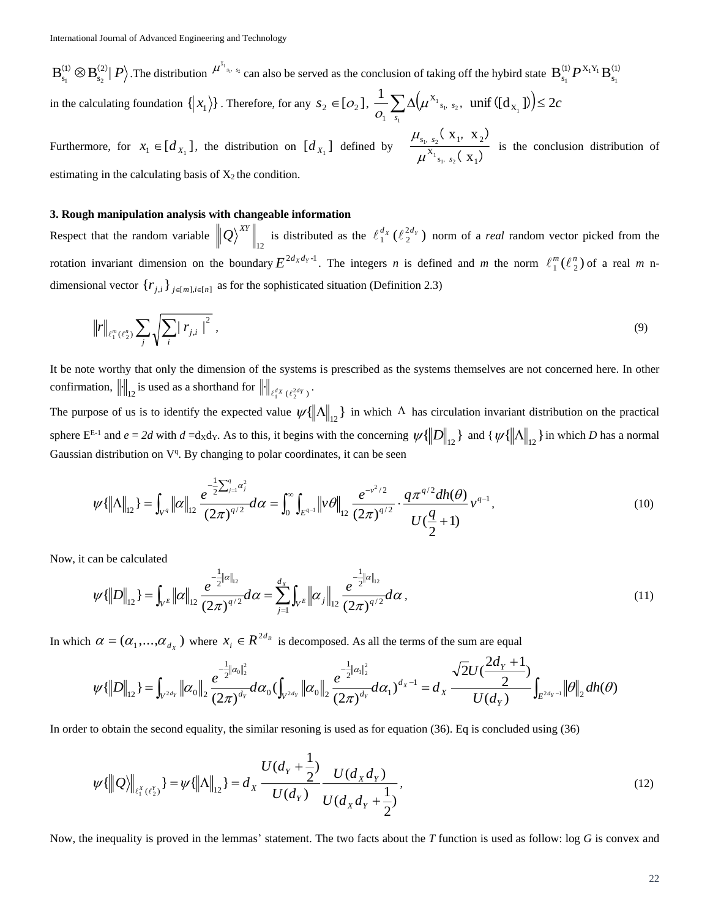(2) s (1) (1)  $\otimes$   $B_{s_2}^{(2)} | P \rangle$ . The distribution  $\mu^{X_{1_{s_{1}, s_2}}}$  can also be served as the conclusion of taking off the hybird state  $B_{s_1}^{(1)} P^{X_1 Y_1} B_{s_1}^{(1)}$ s  $(1)$   $\mathbf{D}X_1Y_2$  $s_1^{11}P^{x_1x_1}B_{s_1}^{x_1}$  $B_{s_1}^{(1)}P^{A_1I_1}B$ in the calculating foundation  $\{|x_1\rangle\}$ . Therefore, for any  $s_2 \in [O_2]$ ,  $\frac{1}{s} \sum_i \Delta(\mu^{X_1} s_i, s_2, \text{ unif } ([d_{X_1}]) \leq 2$  $^{\textrm{X}_{1}}{}_{\textrm{s}_{1}\textrm{, s}_{2}}$ , unif ([d  $_{\textrm{X}}$ 1 *<sup>s</sup>*  $\sum_{Q_1} \sum_{s} \Delta(\mu^{-1} s_{1} s_{2}, \text{ unif } (\alpha_{X_1} \text{])} \leq 2c$ 

Furthermore, for  $x_1 \in [d_{x_1}]$ , the distribution on  $[d_{x_1}]$  defined by  $(x_1)$  $(x_1, x_2)$  $x_1, s_2, x_1$  $s_1$ ,  $s_2$   $\wedge$   $\wedge$  1'  $\wedge$  2  $^{1}$  S<sub>1</sub>, S<sub>2</sub> 1, 22  $\mu$  $\frac{\mu_{s_1, s_2}(x_1, x_2)}{x_1(x_2, x_2)}$  is the conclusion distribution of estimating in the calculating basis of  $X_2$  the condition.

### **3. Rough manipulation analysis with changeable information**

B<sup>2</sup> **a** B<sup>2</sup> **B**<sup>2</sup> *P***<sub>2</sub>. The distribution <sup>of</sup>** <sup>11</sup> **c** can dist be verted in the condition of this gradient distribution  $\mathbf{P}_n^{\text{P}}$  **P**  $\mathbf{P}_n^{\text{P}}$  is the collision of  $\mathbf{P}_n^{\text{P}}$ . By the controlline Respect that the random variable  $\left\|Q\right\rangle^{XY}\right\|_{12}$  is distributed as the  $\ell_1^{d_X}$   $(\ell_2^{2d_Y})$  $\ell_1^{d_x}$  ( $\ell_2^{2d_y}$ ) norm of a *real* random vector picked from the rotation invariant dimension on the boundary  $E^{2d_x d_y}$ <sup>1</sup>. The integers *n* is defined and *m* the norm  $\ell_1^m(\ell_2^n)$  of a real *m* ndimensional vector  $\{r_{j,i}\}_{i \in [m], i \in [n]}$  as for the sophisticated situation (Definition 2.3)

$$
\|r\|_{\ell_1^m(\ell_2^n)} \sum_j \sqrt{\sum_i |r_{j,i}|^2} \ , \tag{9}
$$

It be note worthy that only the dimension of the systems is prescribed as the systems themselves are not concerned here. In other confirmation,  $\left\| \cdot \right\|_{12}$  is used as a shorthand for  $\left\| \cdot \right\|_{\ell_1^{d_X}(\ell_2^{2d_Y})}$ .

The purpose of us is to identify the expected value  $\psi\{\|\Lambda\|_{12}\}\$  in which  $\Lambda$  has circulation invariant distribution on the practical sphere  $E^{E-1}$  and  $e = 2d$  with  $d = dx dy$ . As to this, it begins with the concerning  $\psi\{\|D\|_{12}\}$  and  $\{\psi\{\|\Lambda\|_{12}\}$  in which *D* has a normal Gaussian distribution on  $V<sup>q</sup>$ . By changing to polar coordinates, it can be seen

$$
\psi\{\|\Lambda\|_{12}\} = \int_{V^q} \| \alpha \|_{12} \frac{e^{-\frac{1}{2} \sum_{j=1}^q \alpha_j^2}}{(2\pi)^{q/2}} d\alpha = \int_0^\infty \int_{E^{q-1}} \left\| \nu \theta \right\|_{12} \frac{e^{-\nu^2/2}}{(2\pi)^{q/2}} \cdot \frac{q \pi^{q/2} dh(\theta)}{U(\frac{q}{2}+1)} \nu^{q-1}, \tag{10}
$$

Now, it can be calculated

$$
\psi\{\|D\|_{12}\} = \int_{V^E} \| \alpha \|_{12} \frac{e^{-\frac{1}{2} \| \alpha \|_{12}}}{(2\pi)^{q/2}} d\alpha = \sum_{j=1}^{d_X} \int_{V^E} \| \alpha_j \|_{12} \frac{e^{-\frac{1}{2} \| \alpha \|_{12}}}{(2\pi)^{q/2}} d\alpha , \qquad (11)
$$

In which  $\alpha = (\alpha_1, ..., \alpha_{d_x})$  where  $x_i \in R^{2d_B}$  is decomposed. As all the terms of the sum are equal

$$
\psi\{\|D\|_{12}\}=\int_{V^{2d_Y}}\|\alpha_0\|_2\frac{e^{-\frac{1}{2}\|\alpha_0\|_2^2}}{(2\pi)^{d_Y}}d\alpha_0(\int_{V^{2d_Y}}\|\alpha_0\|_2\frac{e^{-\frac{1}{2}\|\alpha_1\|_2^2}}{(2\pi)^{d_Y}}d\alpha_1)^{d_X-1}=d_X\frac{\sqrt{2}U(\frac{2d_Y+1}{2})}{U(d_Y)}\int_{E^{2d_Y-1}}\|\theta\|_2dh(\theta)
$$

In order to obtain the second equality, the similar resoning is used as for equation (36). Eq is concluded using (36)

$$
\psi\{\left\|\mathcal{Q}\right\|_{\ell_1^X(\ell_2^Y)}\} = \psi\{\left\|\Lambda\right\|_{12}\} = d_x \frac{U(d_x + \frac{1}{2})}{U(d_x)} \frac{U(d_x d_y)}{U(d_x d_y + \frac{1}{2})},\tag{12}
$$

Now, the inequality is proved in the lemmas' statement. The two facts about the *T* function is used as follow: log *G* is convex and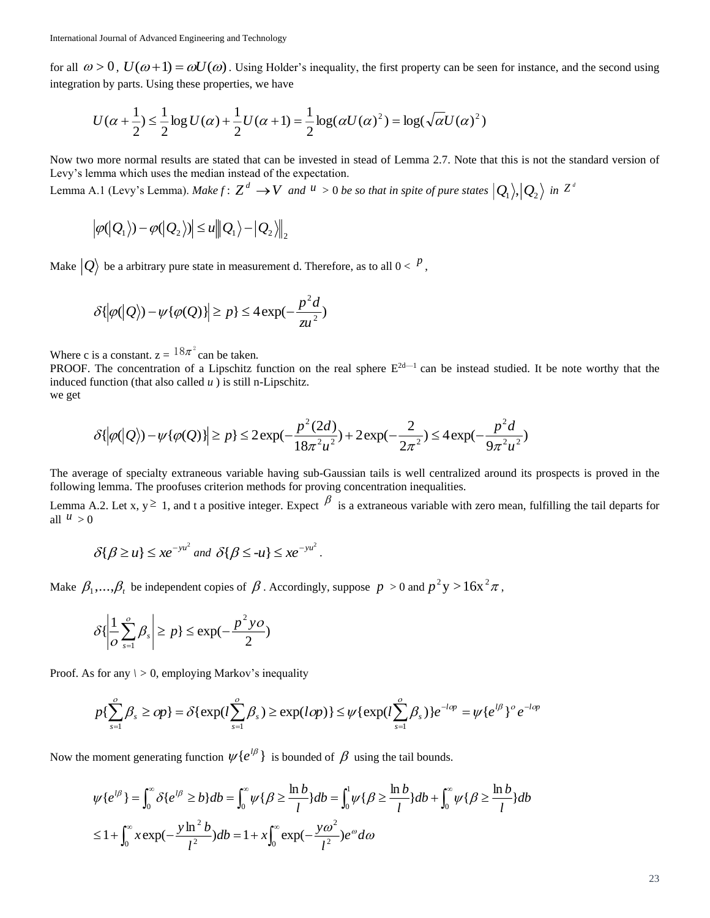for all  $\omega > 0$ ,  $U(\omega + 1) = \omega U(\omega)$ . Using Holder's inequality, the first property can be seen for instance, and the second using integration by parts. Using these properties, we have

$$
U(\alpha + \frac{1}{2}) \le \frac{1}{2} \log U(\alpha) + \frac{1}{2} U(\alpha + 1) = \frac{1}{2} \log(\alpha U(\alpha)^2) = \log(\sqrt{\alpha} U(\alpha)^2)
$$

Now two more normal results are stated that can be invested in stead of Lemma 2.7. Note that this is not the standard version of Levy's lemma which uses the median instead of the expectation.

Lemma A.1 (Levy's Lemma). *Make*  $f: Z^d \to V$  and  $u > 0$  be so that in spite of pure states  $|Q_1\rangle, |Q_2\rangle$  in  $Z^d$ 

$$
\left|\varphi(Q_1)\right)-\varphi(Q_2)\right|\leq u\left|\left|Q_1\right\rangle-\left|Q_2\right\rangle\right|_2
$$

Make  $|Q\rangle$  be a arbitrary pure state in measurement d. Therefore, as to all  $0<\frac{p}{q}$ ,

$$
\delta\{|\varphi(Q)\rangle - \psi\{\varphi(Q)\}\ge p\} \le 4\exp(-\frac{p^2d}{z^2})
$$

Where c is a constant.  $z = \frac{18\pi^2}{2}$  can be taken.

PROOF. The concentration of a Lipschitz function on the real sphere  $E^{2d-1}$  can be instead studied. It be note worthy that the induced function (that also called *u* ) is still n-Lipschitz. we get

$$
\delta\{|\varphi(|Q\rangle) - \psi\{\varphi(Q)\}| \ge p\} \le 2\exp(-\frac{p^2(2d)}{18\pi^2 u^2}) + 2\exp(-\frac{2}{2\pi^2}) \le 4\exp(-\frac{p^2 d}{9\pi^2 u^2})
$$

The average of specialty extraneous variable having sub-Gaussian tails is well centralized around its prospects is proved in the following lemma. The proofuses criterion methods for proving concentration inequalities.

Lemma A.2. Let x,  $y^{\geq 1}$ , and t a positive integer. Expect  $\beta$  is a extraneous variable with zero mean, fulfilling the tail departs for all  $u > 0$ 

$$
\delta\{\beta \ge u\} \le xe^{-yu^2} \text{ and } \delta\{\beta \le -u\} \le xe^{-yu^2}.
$$

Make  $\beta_1,...,\beta_t$  be independent copies of  $\beta$  . Accordingly, suppose  $p > 0$  and  $p^2y > 16x^2\pi$ ,

$$
\delta\{\left|\frac{1}{o}\sum_{s=1}^{o}\beta_{s}\right|\geq p\}\leq \exp(-\frac{p^{2}yo}{2})
$$

Proof. As for any *\ >* 0, employing Markov's inequality

$$
p\{\sum_{s=1}^{\circ}\beta_s\geq op\}=\delta\{\exp(l\sum_{s=1}^{\circ}\beta_s)\geq \exp(lop)\}\leq \psi\{\exp(l\sum_{s=1}^{\circ}\beta_s)\}e^{-lop}=\psi\{e^{l\beta}\}^o e^{-lop}
$$

Now the moment generating function  $\psi\{e^{i\beta}\}\$ is bounded of  $\beta$  using the tail bounds.

$$
\psi\{e^{i\beta}\} = \int_0^\infty \delta\{e^{i\beta} \ge b\} db = \int_0^\infty \psi\{\beta \ge \frac{\ln b}{l}\} db = \int_0^1 \psi\{\beta \ge \frac{\ln b}{l}\} db + \int_0^\infty \psi\{\beta \ge \frac{\ln b}{l}\} db
$$
  

$$
\le 1 + \int_0^\infty x \exp(-\frac{y \ln^2 b}{l^2}) db = 1 + x \int_0^\infty \exp(-\frac{y \omega^2}{l^2}) e^{\omega} d\omega
$$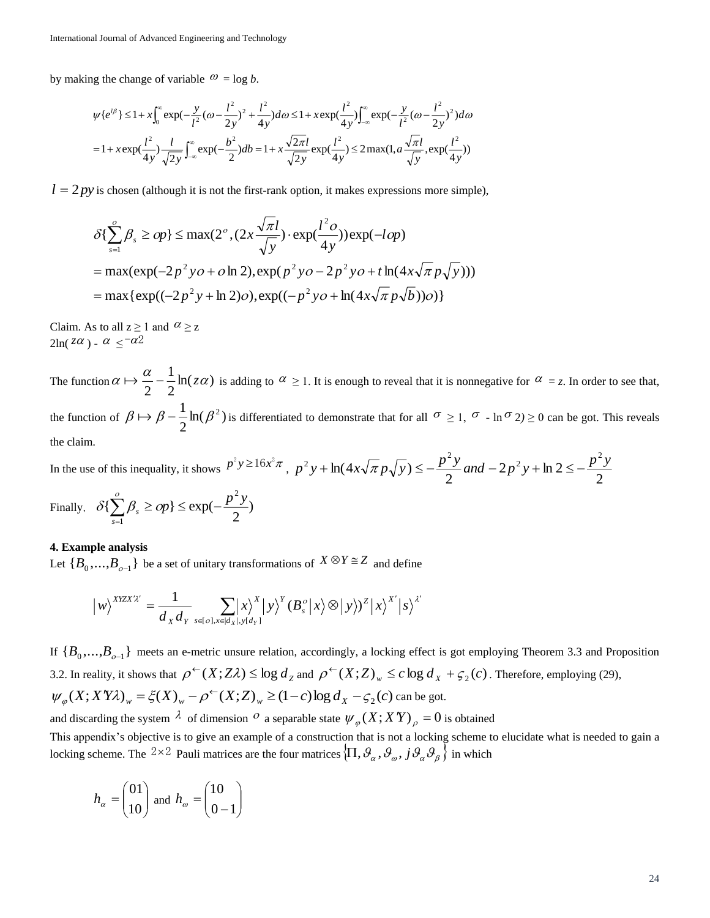by making the change of variable  $\omega = \log b$ .

$$
\psi\{e^{i\beta}\}\leq 1+x\int_0^\infty \exp(-\frac{y}{l^2}(\omega-\frac{l^2}{2y})^2+\frac{l^2}{4y})d\omega\leq 1+x\exp(\frac{l^2}{4y})\int_{-\infty}^\infty \exp(-\frac{y}{l^2}(\omega-\frac{l^2}{2y})^2)d\omega
$$
  
=1+x\exp(\frac{l^2}{4y})\frac{l}{\sqrt{2y}}\int\_{-\infty}^\infty \exp(-\frac{b^2}{2})db=1+x\frac{\sqrt{2\pi}l}{\sqrt{2y}}\exp(\frac{l^2}{4y})\leq 2\max(1, a\frac{\sqrt{\pi}l}{\sqrt{y}}, \exp(\frac{l^2}{4y}))

 $l = 2py$  is chosen (although it is not the first-rank option, it makes expressions more simple),

$$
\delta\{\sum_{s=1}^{o} \beta_{s} \ge op\} \le \max(2^{o}, (2x\frac{\sqrt{\pi}l}{\sqrt{y}}) \cdot \exp(\frac{l^{2}o}{4y})\exp(-lop)
$$
  
=  $\max(\exp(-2p^{2}yo + o \ln 2), \exp(p^{2}yo - 2p^{2}yo + t \ln(4x\sqrt{\pi}p\sqrt{y})))$   
=  $\max{\exp((-2p^{2}y + \ln 2)o), \exp((-p^{2}yo + \ln(4x\sqrt{\pi}p\sqrt{b}))o)}$ 

Claim. As to all  $z \ge 1$  and  $\alpha \ge z$  $2\ln(2\alpha)$  -  $\alpha \leq -\alpha$ 2

The function  $\alpha \mapsto \frac{\alpha}{2} - \frac{1}{2} \ln(z\alpha)$ 1  $\alpha \mapsto \frac{\alpha}{2} - \frac{1}{2} \ln(z\alpha)$  is adding to  $\alpha \ge 1$ . It is enough to reveal that it is nonnegative for  $\alpha = z$ . In order to see that, the function of  $\beta \mapsto \beta - \frac{1}{2} \ln(\beta^2)$  $\beta \mapsto \beta - \frac{1}{2} \ln(\beta^2)$  is differentiated to demonstrate that for all  $\sigma \ge 1$ ,  $\sigma$  -  $\ln \sigma$  2)  $\ge 0$  can be got. This reveals the claim.

In the use of this inequality, it shows  $p^2 y \ge 16x^2 \pi$ ,  $p^2 y + \ln(4x\sqrt{\pi}p\sqrt{y}) \le -\frac{p}{2}$  and  $-2p^2 y + \ln 2 \le -\frac{p}{2}$  $2p^2v + \ln 2$  $\ln(4x\sqrt{\pi p}\sqrt{y}) \leq -\frac{P}{2}$  $p^2 y + \ln(4x\sqrt{\pi}p\sqrt{y}) \le -\frac{p^2y}{2}$  and  $-2p^2 y + \ln 2 \le -\frac{p^2y}{2}$ Finally,  $\delta\{\sum_{s=1}^{\infty}\beta_s \geq op\} \leq \exp(-\frac{P}{2})$ 2 1  $\delta\{\sum_{s=1}^{6} \beta_s \geq op\} \leq \exp(-\frac{p^2y}{2})$ 

#### **4. Example analysis**

Let  $\{B_0, ..., B_{o-1}\}\)$  be a set of unitary transformations of  $X \otimes Y \cong Z$  and define

$$
\left|w\right\rangle^{XYZX'X'} = \frac{1}{d_Xd_Y} \sum_{s \in [o], x \in [d_X], y[d_Y]} \left|x\right\rangle^Y (B_s^o \left|x\right\rangle \otimes \left|y\right\rangle)^Z \left|x\right\rangle^{X'} \left|s\right\rangle^{X'}
$$

If  $\{B_0,...,B_{o-1}\}\;$  meets an e-metric unsure relation, accordingly, a locking effect is got employing Theorem 3.3 and Proposition 3.2. In reality, it shows that  $\rho^{\leftarrow}(X;Z\lambda) \le \log d_Z$  and  $\rho^{\leftarrow}(X;Z)_w \le c \log d_X + \varsigma_2(c)$ . Therefore, employing (29),  $W_{\varphi}(X; X'YX)_{w} = \xi(X)_{w} - \rho^{\leftarrow}(X; Z)_{w} \ge (1 - c) \log d_{X} - \zeta_{2}(c)$  can be got. and discarding the system  $\lambda$  of dimension  $\sigma$  a separable state  $\psi_{\varphi}(X;XY)_{\rho} = 0$  is obtained

This appendix's objective is to give an example of a construction that is not a locking scheme to elucidate what is needed to gain a locking scheme. The <sup>2×2</sup> Pauli matrices are the four matrices  $\left\{\Pi, \theta_{\alpha}, \theta_{\omega}, j\theta_{\alpha}\theta_{\beta}\right\}$  in which

$$
h_{\alpha} = \begin{pmatrix} 01 \\ 10 \end{pmatrix} \text{ and } h_{\omega} = \begin{pmatrix} 10 \\ 0 - 1 \end{pmatrix}
$$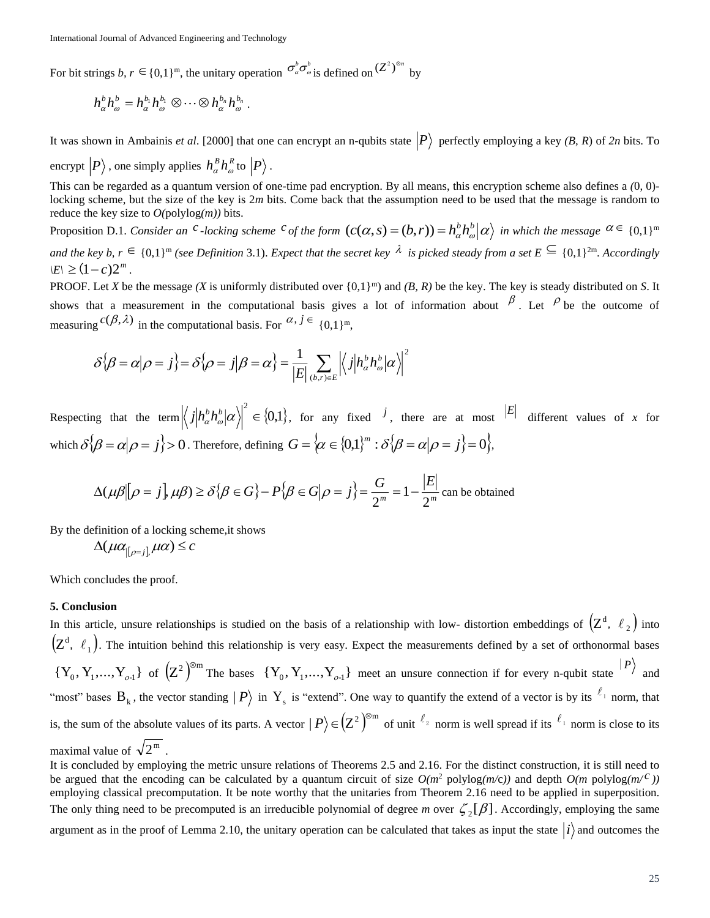For bit strings *b*,  $r \in \{0,1\}^m$ , the unitary operation  $\sigma_a^b \sigma_b^b$  is defined on  $(Z^2)^{\otimes n}$  by

.

$$
h_\alpha^b h_\omega^b=h_\alpha^{b_1}h_\omega^{b_1}\otimes\cdots\otimes h_\alpha^{b_n}h_\omega^{b_n}
$$

It was shown in Ambainis *et al*. [2000] that one can encrypt an n-qubits state *P* perfectly employing a key *(B, R*) of *2n* bits. To

encrypt  $|P\rangle$  , one simply applies  $h_\alpha^B h_\omega^R$  to  $|P\rangle$  .

This can be regarded as a quantum version of one-time pad encryption. By all means, this encryption scheme also defines a *(*0, 0) locking scheme, but the size of the key is 2*m* bits. Come back that the assumption need to be used that the message is random to reduce the key size to  $O(polylog(m))$  bits.

Proposition D.1. Consider an <sup>c</sup>-locking scheme <sup>c</sup> of the form  $(c(\alpha,s)=(b,r))=h_\alpha^b h_\omega^b|\alpha\rangle$  in which the message  $\alpha\in\{0,1\}^m$ and the key b,  $r \in \{0,1\}^m$  *(see Definition* 3.1). Expect that the secret key  $\lambda$  is picked steady from a set  $E \subseteq \{0,1\}^{2m}$ . Accordingly  $\langle E \rangle \geq (1-c)2^m$ .

PROOF. Let *X* be the message *(X* is uniformly distributed over  $\{0,1\}^m$ ) and *(B, R)* be the key. The key is steady distributed on *S*. It shows that a measurement in the computational basis gives a lot of information about  $\beta$ . Let  $\beta$  be the outcome of measuring  $c(\beta, \lambda)$  in the computational basis. For  $\alpha, j \in \{0,1\}^m$ ,

$$
\delta\{\beta = \alpha|\rho = j\} = \delta\{\rho = j|\beta = \alpha\} = \frac{1}{|E|}\sum_{(b,r)\in E}\left|\left\langle j|h_{\alpha}^{b}h_{\omega}^{b}|\alpha\rangle\right|^{2}\right|
$$

Respecting that the term $\left|\langle j|h_a^b h_\omega^b|\alpha\rangle\right|^2 \in \{0,1\},\$  $\int_{a}^{b} h_{\alpha}^{b} h_{\alpha}^{b} |\alpha|^{2} \in \{0,1\}$ , for any fixed <sup>*j*</sup>, there are at most <sup>[E]</sup> different values of *x* for which  $\delta \{\beta = \alpha | \rho = j\} > 0$ . Therefore, defining  $G = \{\alpha \in \{0,1\}^m : \delta \{\beta = \alpha | \rho = j\} = 0\},\$ 

$$
\Delta(\mu\beta \big| \big| \rho = j \big|, \mu\beta) \ge \delta \big\{\beta \in G\big\} - P\big\{\beta \in G \big| \rho = j \big\} = \frac{G}{2^m} = 1 - \frac{|E|}{2^m} \text{ can be obtained}
$$

By the definition of a locking scheme,it shows

$$
\Delta(\mu\alpha_{\left|\left[\rho=j\right]\right]}\mu\alpha) \leq c
$$

Which concludes the proof.

### **5. Conclusion**

In this article, unsure relationships is studied on the basis of a relationship with low- distortion embeddings of  $(Z^d, \ell_2)$  into  $(Z^d, \ell_1)$ . The intuition behind this relationship is very easy. Expect the measurements defined by a set of orthonormal bases  ${Y_0, Y_1,..., Y_{o-1}}$  of  ${(\mathbb{Z}^2)}^{\otimes m}$  The bases  ${Y_0, Y_1,..., Y_{o-1}}$  meet an unsure connection if for every n-qubit state  $|P\rangle$  and "most" bases  $B_k$ , the vector standing  $|P\rangle$  in  $Y_s$  is "extend". One way to quantify the extend of a vector is by its  $\ell_1$  norm, that is, the sum of the absolute values of its parts. A vector  $|P\rangle \in (Z^2)^{\otimes m}$  of unit  $\ell_2$  norm is well spread if its  $\ell_1$  norm is close to its maximal value of  $\sqrt{2^m}$ .

It is concluded by employing the metric unsure relations of Theorems 2.5 and 2.16. For the distinct construction, it is still need to be argued that the encoding can be calculated by a quantum circuit of size  $O(m^2 \text{ polylog}(m/\text{c}))$  and depth  $O(m \text{ polylog}(m/\text{c}))$ employing classical precomputation. It be note worthy that the unitaries from Theorem 2.16 need to be applied in superposition. The only thing need to be precomputed is an irreducible polynomial of degree m over  $\zeta_2[\beta]$ . Accordingly, employing the same argument as in the proof of Lemma 2.10, the unitary operation can be calculated that takes as input the state  $|i\rangle$  and outcomes the